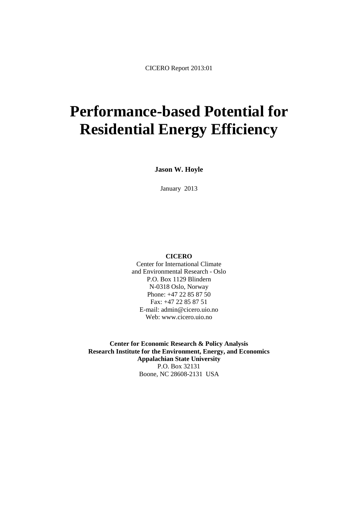# **Performance-based Potential for Residential Energy Efficiency**

**Jason W. Hoyle**

January 2013

#### **CICERO**

Center for International Climate and Environmental Research - Oslo P.O. Box 1129 Blindern N-0318 Oslo, Norway Phone: +47 22 85 87 50 Fax: +47 22 85 87 51 E-mail: admin@cicero.uio.no Web: www.cicero.uio.no

**Center for Economic Research & Policy Analysis Research Institute for the Environment, Energy, and Economics Appalachian State University** P.O. Box 32131 Boone, NC 28608-2131 USA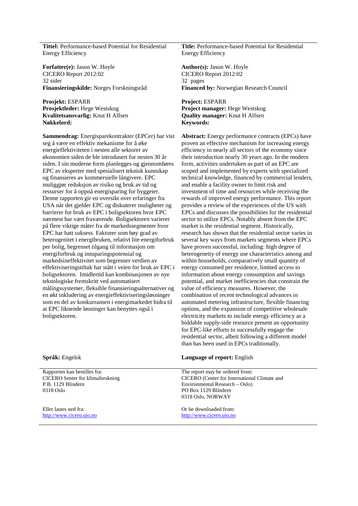**Tittel:** Performance-based Potential for Residential Energy Efficiency

Forfatter(e): Jason W. Hoyle **Author(s): Jason W. Hoyle** CICERO Report 2012:02 32 sider

**Prosjekt: ESPARR**<br>**Prosjektleder:** Hege Westskog **Prosjektleder: Prosjektleder: All Prosjektleder: All Project manager: Kvalitetsansvarlig:** Knut H Alfsen **Nøkkelord: Keywords:** 

**Sammendrag:** Energisparekontrakter (EPCer) har vist seg å være en effektiv mekanisme for å øke energieffektiviteten i nesten alle sektorer av økonomien siden de ble introdusert for nesten 30 år siden. I sin moderne form planlegges og gjennomføres EPC av eksperter med spesialisert teknisk kunnskap og finansieres av kommersielle långivere. EPC muliggjør reduksjon av risiko og bruk av tid og ressurser for å oppnå energisparing for byggeier. Denne rapporten gir en oversikt over erfaringer fra USA når det gjelder EPC og diskuterer muligheter og barrierer for bruk av EPC i boligsektoren hvor EPC nærmest har vært fraværende. Boligsektoren varierer på flere viktige måter fra de markedssegmenter hvor EPC har hatt suksess. Faktorer som høy grad av heterogenitet i energibruken, relativt lite energiforbruk per bolig, begrenset tilgang til informasjon om energiforbruk og innsparingspotensial og markedsineffektivitet som begrenser verdien av effektiviseringstiltak har stått i veien for bruk av EPC i boligsektoren. Imidlertid kan kombinasjonen av nye teknologiske fremskritt ved automatisert målingssystemer, fleksible finansieringsalternativer og en økt inkludering av energieffektiviseringsløsninger som en del av konkurransen i energimarkedet bidra til at EPC liknende løsninger kan benyttes også i boligsektoren.

**Title:** Performance-based Potential for Residential Energy Efficiency

CICERO Report 2012:02 32 pages **Finansieringskilde:** Norges Forskningsråd **Financed by:** Norwegian Research Council

**Project manager: Hege Westskog Quality manager:** Knut H Alfsen

**Abstract:** Energy performance contracts (EPCs) have proven an effective mechanism for increasing energy efficiency in nearly all sectors of the economy since their introduction nearly 30 years ago. In the modern form, activities undertaken as part of an EPC are scoped and implemented by experts with specialized technical knowledge, financed by commercial lenders, and enable a facility owner to limit risk and investment of time and resources while receiving the rewards of improved energy performance. This report provides a review of the experiences of the US with EPCs and discusses the possibilities for the residential sector to utilize EPCs. Notably absent from the EPC market is the residential segment. Historically, research has shown that the residential sector varies in several key ways from markets segments where EPCs have proven successful, including: high degree of heterogeneity of energy use characteristics among and within households, comparatively small quantity of energy consumed per residence, limited access to information about energy consumption and savings potential, and market inefficiencies that constrain the value of efficiency measures. However, the combination of recent technological advances in automated metering infrastructure, flexible financing options, and the expansion of competitive wholesale electricity markets to include energy efficiency as a biddable supply-side resource present an opportunity for EPC-like efforts to successfully engage the residential sector, albeit following a different model than has been used in EPCs traditionally.

| <b>Språk:</b> Engelsk                                                                                      | <b>Language of report:</b> English                                                                                                                             |
|------------------------------------------------------------------------------------------------------------|----------------------------------------------------------------------------------------------------------------------------------------------------------------|
| Rapporten kan bestilles fra:<br><b>CICERO</b> Senter for klimaforskning<br>P.B. 1129 Blindern<br>0318 Oslo | The report may be ordered from:<br>CICERO (Center for International Climate and<br>Environmental Research – Oslo)<br>PO Box 1129 Blindern<br>0318 Oslo, NORWAY |
| Eller lastes ned fra:<br>http://www.cicero.uio.no                                                          | Or be downloaded from:<br>http://www.cicero.uio.no                                                                                                             |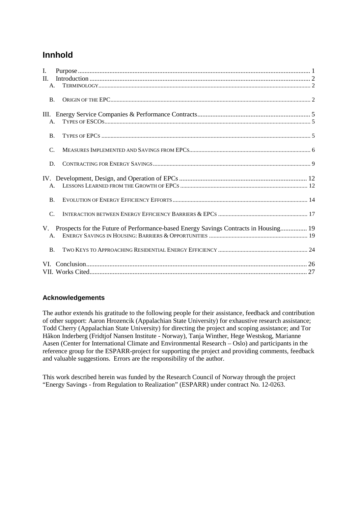# **Innhold**

| I.              |                                                                                      |  |
|-----------------|--------------------------------------------------------------------------------------|--|
| $\Pi$ .         |                                                                                      |  |
| A <sub>1</sub>  |                                                                                      |  |
| <b>B.</b>       |                                                                                      |  |
|                 |                                                                                      |  |
| A <sub>1</sub>  |                                                                                      |  |
| <b>B.</b>       |                                                                                      |  |
| $\mathcal{C}$ . |                                                                                      |  |
| D.              |                                                                                      |  |
|                 |                                                                                      |  |
| $\mathsf{A}$ .  |                                                                                      |  |
| <b>B.</b>       |                                                                                      |  |
| $\mathcal{C}$ . |                                                                                      |  |
| V.              | Prospects for the Future of Performance-based Energy Savings Contracts in Housing 19 |  |
| $\mathsf{A}$ .  |                                                                                      |  |
| B.              |                                                                                      |  |
|                 |                                                                                      |  |
|                 |                                                                                      |  |

#### **Acknowledgements**

The author extends his gratitude to the following people for their assistance, feedback and contribution of other support: Aaron Hrozencik (Appalachian State University) for exhaustive research assistance; Todd Cherry (Appalachian State University) for directing the project and scoping assistance; and Tor Håkon Inderberg (Fridtjof Nansen Institute - Norway), Tanja Winther, Hege Westskog, Marianne Aasen (Center for International Climate and Environmental Research – Oslo) and participants in the reference group for the ESPARR-project for supporting the project and providing comments, feedback and valuable suggestions. Errors are the responsibility of the author.

This work described herein was funded by the Research Council of Norway through the project "Energy Savings - from Regulation to Realization" (ESPARR) under contract No. 12-0263.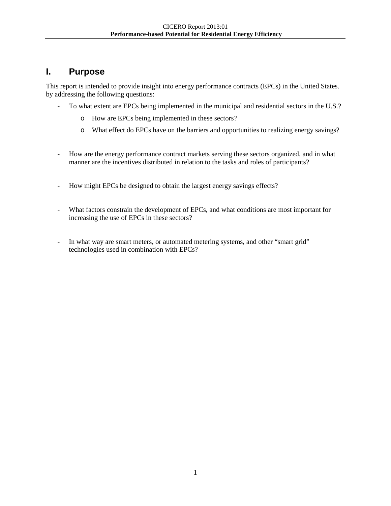# **I. Purpose**

<span id="page-3-0"></span>This report is intended to provide insight into energy performance contracts (EPCs) in the United States. by addressing the following questions:

- To what extent are EPCs being implemented in the municipal and residential sectors in the U.S.?
	- o How are EPCs being implemented in these sectors?
	- o What effect do EPCs have on the barriers and opportunities to realizing energy savings?
- How are the energy performance contract markets serving these sectors organized, and in what manner are the incentives distributed in relation to the tasks and roles of participants?
- How might EPCs be designed to obtain the largest energy savings effects?
- What factors constrain the development of EPCs, and what conditions are most important for increasing the use of EPCs in these sectors?
- In what way are smart meters, or automated metering systems, and other "smart grid" technologies used in combination with EPCs?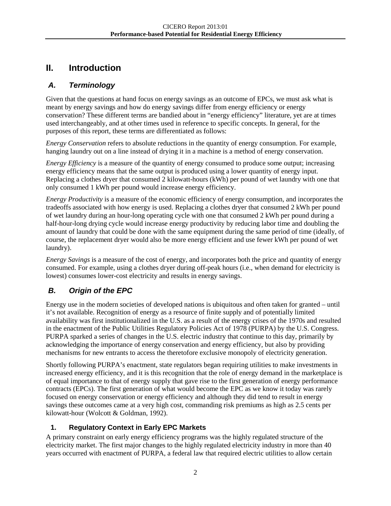# **II. Introduction**

# <span id="page-4-0"></span>*A. Terminology*

<span id="page-4-1"></span>Given that the questions at hand focus on energy savings as an outcome of EPCs, we must ask what is meant by energy savings and how do energy savings differ from energy efficiency or energy conservation? These different terms are bandied about in "energy efficiency" literature, yet are at times used interchangeably, and at other times used in reference to specific concepts. In general, for the purposes of this report, these terms are differentiated as follows:

*Energy Conservation* refers to absolute reductions in the quantity of energy consumption. For example, hanging laundry out on a line instead of drying it in a machine is a method of energy conservation.

*Energy Efficiency* is a measure of the quantity of energy consumed to produce some output; increasing energy efficiency means that the same output is produced using a lower quantity of energy input. Replacing a clothes dryer that consumed 2 kilowatt-hours (kWh) per pound of wet laundry with one that only consumed 1 kWh per pound would increase energy efficiency.

*Energy Productivity* is a measure of the economic efficiency of energy consumption, and incorporates the tradeoffs associated with how energy is used. Replacing a clothes dryer that consumed 2 kWh per pound of wet laundry during an hour-long operating cycle with one that consumed 2 kWh per pound during a half-hour-long drying cycle would increase energy productivity by reducing labor time and doubling the amount of laundry that could be done with the same equipment during the same period of time (ideally, of course, the replacement dryer would also be more energy efficient and use fewer kWh per pound of wet laundry).

*Energy Savings* is a measure of the cost of energy, and incorporates both the price and quantity of energy consumed. For example, using a clothes dryer during off-peak hours (i.e., when demand for electricity is lowest) consumes lower-cost electricity and results in energy savings.

# *B. Origin of the EPC*

<span id="page-4-2"></span>Energy use in the modern societies of developed nations is ubiquitous and often taken for granted – until it's not available. Recognition of energy as a resource of finite supply and of potentially limited availability was first institutionalized in the U.S. as a result of the energy crises of the 1970s and resulted in the enactment of the Public Utilities Regulatory Policies Act of 1978 (PURPA) by the U.S. Congress. PURPA sparked a series of changes in the U.S. electric industry that continue to this day, primarily by acknowledging the importance of energy conservation and energy efficiency, but also by providing mechanisms for new entrants to access the theretofore exclusive monopoly of electricity generation.

Shortly following PURPA's enactment, state regulators began requiring utilities to make investments in increased energy efficiency, and it is this recognition that the role of energy demand in the marketplace is of equal importance to that of energy supply that gave rise to the first generation of energy performance contracts (EPCs). The first generation of what would become the EPC as we know it today was rarely focused on energy conservation or energy efficiency and although they did tend to result in energy savings these outcomes came at a very high cost, commanding risk premiums as high as 2.5 cents per kilowatt-hour (Wolcott & Goldman, 1992).

# **1. Regulatory Context in Early EPC Markets**

A primary constraint on early energy efficiency programs was the highly regulated structure of the electricity market. The first major changes to the highly regulated electricity industry in more than 40 years occurred with enactment of PURPA, a federal law that required electric utilities to allow certain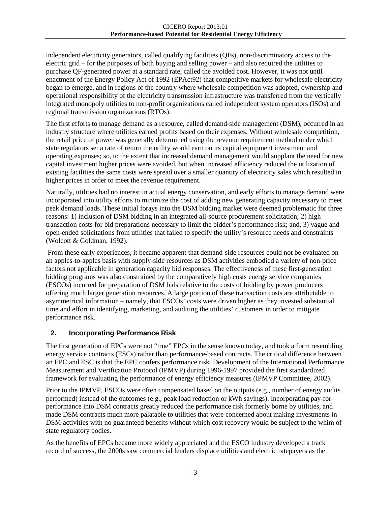independent electricity generators, called qualifying facilities (QFs), non-discriminatory access to the electric grid – for the purposes of both buying and selling power – and also required the utilities to purchase QF-generated power at a standard rate, called the avoided cost. However, it was not until enactment of the Energy Policy Act of 1992 (EPAct92) that competitive markets for wholesale electricity began to emerge, and in regions of the country where wholesale competition was adopted, ownership and operational responsibility of the electricity transmission infrastructure was transferred from the vertically integrated monopoly utilities to non-profit organizations called independent system operators (ISOs) and regional transmission organizations (RTOs).

The first efforts to manage demand as a resource, called demand-side management (DSM), occurred in an industry structure where utilities earned profits based on their expenses. Without wholesale competition, the retail price of power was generally determined using the revenue requirement method under which state regulators set a rate of return the utility would earn on its capital equipment investment and operating expenses; so, to the extent that increased demand management would supplant the need for new capital investment higher prices were avoided, but when increased efficiency reduced the utilization of existing facilities the same costs were spread over a smaller quantity of electricity sales which resulted in higher prices in order to meet the revenue requirement.

Naturally, utilities had no interest in actual energy conservation, and early efforts to manage demand were incorporated into utility efforts to minimize the cost of adding new generating capacity necessary to meet peak demand loads. These initial forays into the DSM bidding market were deemed problematic for three reasons: 1) inclusion of DSM bidding in an integrated all-source procurement solicitation; 2) high transaction costs for bid preparations necessary to limit the bidder's performance risk; and, 3) vague and open-ended solicitations from utilities that failed to specify the utility's resource needs and constraints (Wolcott & Goldman, 1992).

From these early experiences, it became apparent that demand-side resources could not be evaluated on an apples-to-apples basis with supply-side resources as DSM activities embodied a variety of non-price factors not applicable in generation capacity bid responses. The effectiveness of these first-generation bidding programs was also constrained by the comparatively high costs energy service companies (ESCOs) incurred for preparation of DSM bids relative to the costs of bidding by power producers offering much larger generation resources. A large portion of these transaction costs are attributable to asymmetrical information – namely, that ESCOs' costs were driven higher as they invested substantial time and effort in identifying, marketing, and auditing the utilities' customers in order to mitigate performance risk.

#### **2. Incorporating Performance Risk**

The first generation of EPCs were not "true" EPCs in the sense known today, and took a form resembling energy service contracts (ESCs) rather than performance-based contracts. The critical difference between an EPC and ESC is that the EPC confers performance risk. Development of the International Performance Measurement and Verification Protocol (IPMVP) during 1996-1997 provided the first standardized framework for evaluating the performance of energy efficiency measures (IPMVP Committee, 2002).

Prior to the IPMVP, ESCOs were often compensated based on the outputs (e.g., number of energy audits performed) instead of the outcomes (e.g., peak load reduction or kWh savings). Incorporating pay-forperformance into DSM contracts greatly reduced the performance risk formerly borne by utilities, and made DSM contracts much more palatable to utilities that were concerned about making investments in DSM activities with no guaranteed benefits without which cost recovery would be subject to the whim of state regulatory bodies.

As the benefits of EPCs became more widely appreciated and the ESCO industry developed a track record of success, the 2000s saw commercial lenders displace utilities and electric ratepayers as the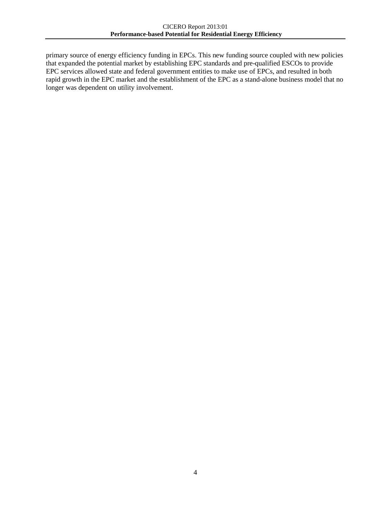primary source of energy efficiency funding in EPCs. This new funding source coupled with new policies that expanded the potential market by establishing EPC standards and pre-qualified ESCOs to provide EPC services allowed state and federal government entities to make use of EPCs, and resulted in both rapid growth in the EPC market and the establishment of the EPC as a stand-alone business model that no longer was dependent on utility involvement.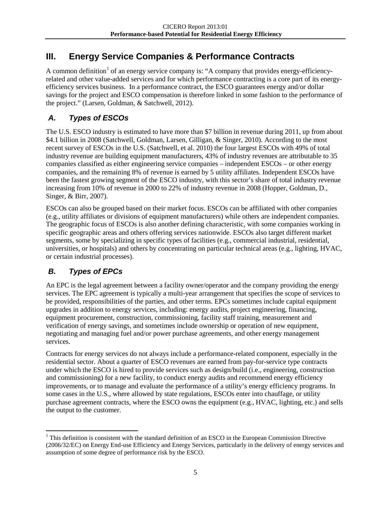# **III. Energy Service Companies & Performance Contracts**

<span id="page-7-0"></span>A common definition<sup>[1](#page-7-3)</sup> of an energy service company is: "A company that provides energy-efficiencyrelated and other value-added services and for which performance contracting is a core part of its energyefficiency services business. In a performance contract, the ESCO guarantees energy and/or dollar savings for the project and ESCO compensation is therefore linked in some fashion to the performance of the project." (Larsen, Goldman, & Satchwell, 2012).

# *A. Types of ESCOs*

<span id="page-7-1"></span>The U.S. ESCO industry is estimated to have more than \$7 billion in revenue during 2011, up from about \$4.1 billion in 2008 (Satchwell, Goldman, Larsen, Gilligan, & Singer, 2010). According to the most recent survey of ESCOs in the U.S. (Satchwell, et al. 2010) the four largest ESCOs with 49% of total industry revenue are building equipment manufacturers, 43% of industry revenues are attributable to 35 companies classified as either engineering service companies – independent ESCOs – or other energy companies, and the remaining 8% of revenue is earned by 5 utility affiliates. Independent ESCOs have been the fastest growing segment of the ESCO industry, with this sector's share of total industry revenue increasing from 10% of revenue in 2000 to 22% of industry revenue in 2008 (Hopper, Goldman, D., Singer, & Birr, 2007).

ESCOs can also be grouped based on their market focus. ESCOs can be affiliated with other companies (e.g., utility affiliates or divisions of equipment manufacturers) while others are independent companies. The geographic focus of ESCOs is also another defining characteristic, with some companies working in specific geographic areas and others offering services nationwide. ESCOs also target different market segments, some by specializing in specific types of facilities (e.g., commercial industrial, residential, universities, or hospitals) and others by concentrating on particular technical areas (e.g., lighting, HVAC, or certain industrial processes).

# *B. Types of EPCs*

<span id="page-7-2"></span>An EPC is the legal agreement between a facility owner/operator and the company providing the energy services. The EPC agreement is typically a multi-year arrangement that specifies the scope of services to be provided, responsibilities of the parties, and other terms. EPCs sometimes include capital equipment upgrades in addition to energy services, including: energy audits, project engineering, financing, equipment procurement, construction, commissioning, facility staff training, measurement and verification of energy savings, and sometimes include ownership or operation of new equipment, negotiating and managing fuel and/or power purchase agreements, and other energy management services.

Contracts for energy services do not always include a performance-related component, especially in the residential sector. About a quarter of ESCO revenues are earned from pay-for-service type contracts under which the ESCO is hired to provide services such as design/build (i.e., engineering, construction and commissioning) for a new facility, to conduct energy audits and recommend energy efficiency improvements, or to manage and evaluate the performance of a utility's energy efficiency programs. In some cases in the U.S., where allowed by state regulations, ESCOs enter into chauffage, or utility purchase agreement contracts, where the ESCO owns the equipment (e.g., HVAC, lighting, etc.) and sells the output to the customer.

<span id="page-7-3"></span> $1$ <sup>1</sup> This definition is consistent with the standard definition of an ESCO in the European Commission Directive (2006/32/EC) on Energy End-use Efficiency and Energy Services, particularly in the delivery of energy services and assumption of some degree of performance risk by the ESCO.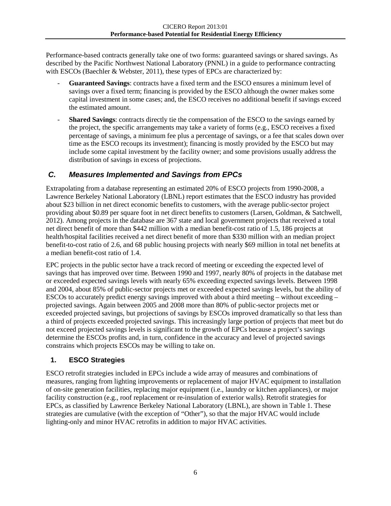Performance-based contracts generally take one of two forms: guaranteed savings or shared savings. As described by the Pacific Northwest National Laboratory (PNNL) in a guide to performance contracting with ESCOs (Baechler & Webster, 2011), these types of EPCs are characterized by:

- **Guaranteed Savings**: contracts have a fixed term and the ESCO ensures a minimum level of savings over a fixed term; financing is provided by the ESCO although the owner makes some capital investment in some cases; and, the ESCO receives no additional benefit if savings exceed the estimated amount.
- **Shared Savings**: contracts directly tie the compensation of the ESCO to the savings earned by the project, the specific arrangements may take a variety of forms (e.g., ESCO receives a fixed percentage of savings, a minimum fee plus a percentage of savings, or a fee that scales down over time as the ESCO recoups its investment); financing is mostly provided by the ESCO but may include some capital investment by the facility owner; and some provisions usually address the distribution of savings in excess of projections.

## *C. Measures Implemented and Savings from EPCs*

<span id="page-8-0"></span>Extrapolating from a database representing an estimated 20% of ESCO projects from 1990-2008, a Lawrence Berkeley National Laboratory (LBNL) report estimates that the ESCO industry has provided about \$23 billion in net direct economic benefits to customers, with the average public-sector project providing about \$0.89 per square foot in net direct benefits to customers (Larsen, Goldman, & Satchwell, 2012). Among projects in the database are 367 state and local government projects that received a total net direct benefit of more than \$442 million with a median benefit-cost ratio of 1.5, 186 projects at health/hospital facilities received a net direct benefit of more than \$330 million with an median project benefit-to-cost ratio of 2.6, and 68 public housing projects with nearly \$69 million in total net benefits at a median benefit-cost ratio of 1.4.

EPC projects in the public sector have a track record of meeting or exceeding the expected level of savings that has improved over time. Between 1990 and 1997, nearly 80% of projects in the database met or exceeded expected savings levels with nearly 65% exceeding expected savings levels. Between 1998 and 2004, about 85% of public-sector projects met or exceeded expected savings levels, but the ability of ESCOs to accurately predict energy savings improved with about a third meeting – without exceeding – projected savings. Again between 2005 and 2008 more than 80% of public-sector projects met or exceeded projected savings, but projections of savings by ESCOs improved dramatically so that less than a third of projects exceeded projected savings. This increasingly large portion of projects that meet but do not exceed projected savings levels is significant to the growth of EPCs because a project's savings determine the ESCOs profits and, in turn, confidence in the accuracy and level of projected savings constrains which projects ESCOs may be willing to take on.

#### **1. ESCO Strategies**

ESCO retrofit strategies included in EPCs include a wide array of measures and combinations of measures, ranging from lighting improvements or replacement of major HVAC equipment to installation of on-site generation facilities, replacing major equipment (i.e., laundry or kitchen appliances), or major facility construction (e.g., roof replacement or re-insulation of exterior walls). Retrofit strategies for EPCs, as classified by Lawrence Berkeley National Laboratory (LBNL), are shown in [Table 1.](#page-9-0) These strategies are cumulative (with the exception of "Other"), so that the major HVAC would include lighting-only and minor HVAC retrofits in addition to major HVAC activities.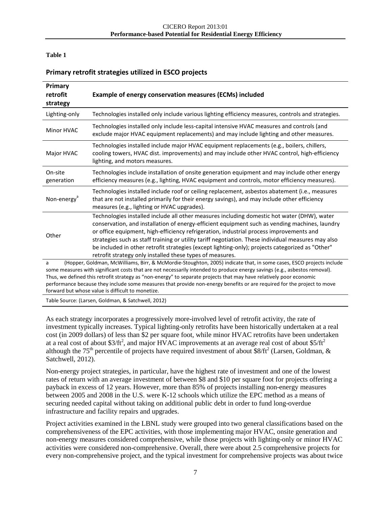#### <span id="page-9-0"></span>**Table 1**

#### **Primary retrofit strategies utilized in ESCO projects**

| Primary<br>retrofit<br>strategy                                                                                                                                                                                                                                                                                                                                                                                                                                                                                                                               | Example of energy conservation measures (ECMs) included                                                                                                                                                                                                                                                                                                                                                                                                                                                                                                          |  |
|---------------------------------------------------------------------------------------------------------------------------------------------------------------------------------------------------------------------------------------------------------------------------------------------------------------------------------------------------------------------------------------------------------------------------------------------------------------------------------------------------------------------------------------------------------------|------------------------------------------------------------------------------------------------------------------------------------------------------------------------------------------------------------------------------------------------------------------------------------------------------------------------------------------------------------------------------------------------------------------------------------------------------------------------------------------------------------------------------------------------------------------|--|
| Lighting-only                                                                                                                                                                                                                                                                                                                                                                                                                                                                                                                                                 | Technologies installed only include various lighting efficiency measures, controls and strategies.                                                                                                                                                                                                                                                                                                                                                                                                                                                               |  |
| Minor HVAC                                                                                                                                                                                                                                                                                                                                                                                                                                                                                                                                                    | Technologies installed only include less-capital intensive HVAC measures and controls (and<br>exclude major HVAC equipment replacements) and may include lighting and other measures.                                                                                                                                                                                                                                                                                                                                                                            |  |
| Major HVAC                                                                                                                                                                                                                                                                                                                                                                                                                                                                                                                                                    | Technologies installed include major HVAC equipment replacements (e.g., boilers, chillers,<br>cooling towers, HVAC dist. improvements) and may include other HVAC control, high-efficiency<br>lighting, and motors measures.                                                                                                                                                                                                                                                                                                                                     |  |
| On-site<br>generation                                                                                                                                                                                                                                                                                                                                                                                                                                                                                                                                         | Technologies include installation of onsite generation equipment and may include other energy<br>efficiency measures (e.g., lighting, HVAC equipment and controls, motor efficiency measures).                                                                                                                                                                                                                                                                                                                                                                   |  |
| Non-energy <sup>a</sup>                                                                                                                                                                                                                                                                                                                                                                                                                                                                                                                                       | Technologies installed include roof or ceiling replacement, asbestos abatement (i.e., measures<br>that are not installed primarily for their energy savings), and may include other efficiency<br>measures (e.g., lighting or HVAC upgrades).                                                                                                                                                                                                                                                                                                                    |  |
| Other                                                                                                                                                                                                                                                                                                                                                                                                                                                                                                                                                         | Technologies installed include all other measures including domestic hot water (DHW), water<br>conservation, and installation of energy-efficient equipment such as vending machines, laundry<br>or office equipment, high-efficiency refrigeration, industrial process improvements and<br>strategies such as staff training or utility tariff negotiation. These individual measures may also<br>be included in other retrofit strategies (except lighting-only); projects categorized as "Other"<br>retrofit strategy only installed these types of measures. |  |
| (Hopper, Goldman, McWilliams, Birr, & McMordie-Stoughton, 2005) indicate that, in some cases, ESCO projects include<br>a<br>some measures with significant costs that are not necessarily intended to produce energy savings (e.g., asbestos removal).<br>Thus, we defined this retrofit strategy as "non-energy" to separate projects that may have relatively poor economic<br>performance because they include some measures that provide non-energy benefits or are required for the project to move<br>forward but whose value is difficult to monetize. |                                                                                                                                                                                                                                                                                                                                                                                                                                                                                                                                                                  |  |
|                                                                                                                                                                                                                                                                                                                                                                                                                                                                                                                                                               | Table Source: (Larsen, Goldman, & Satchwell, 2012)                                                                                                                                                                                                                                                                                                                                                                                                                                                                                                               |  |

As each strategy incorporates a progressively more-involved level of retrofit activity, the rate of investment typically increases. Typical lighting-only retrofits have been historically undertaken at a real cost (in 2009 dollars) of less than \$2 per square foot, while minor HVAC retrofits have been undertaken at a real cost of about \$3/ft<sup>2</sup>, and major HVAC improvements at an average real cost of about \$5/ft<sup>2</sup> although the 75<sup>th</sup> percentile of projects have required investment of about \$8/ft<sup>2</sup> (Larsen, Goldman, & Satchwell, 2012).

Non-energy project strategies, in particular, have the highest rate of investment and one of the lowest rates of return with an average investment of between \$8 and \$10 per square foot for projects offering a payback in excess of 12 years. However, more than 85% of projects installing non-energy measures between 2005 and 2008 in the U.S. were K-12 schools which utilize the EPC method as a means of securing needed capital without taking on additional public debt in order to fund long-overdue infrastructure and facility repairs and upgrades.

Project activities examined in the LBNL study were grouped into two general classifications based on the comprehensiveness of the EPC activities, with those implementing major HVAC, onsite generation and non-energy measures considered comprehensive, while those projects with lighting-only or minor HVAC activities were considered non-comprehensive. Overall, there were about 2.5 comprehensive projects for every non-comprehensive project, and the typical investment for comprehensive projects was about twice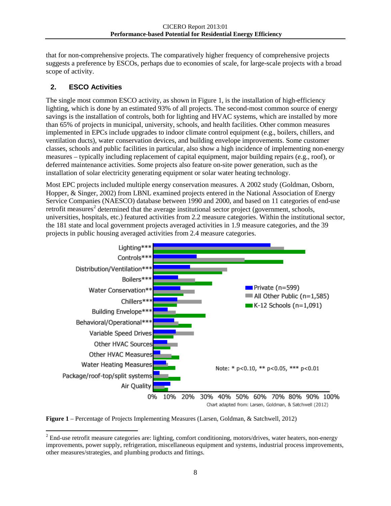that for non-comprehensive projects. The comparatively higher frequency of comprehensive projects suggests a preference by ESCOs, perhaps due to economies of scale, for large-scale projects with a broad scope of activity.

#### **2. ESCO Activities**

The single most common ESCO activity, as shown in [Figure 1,](#page-10-0) is the installation of high-efficiency lighting, which is done by an estimated 93% of all projects. The second-most common source of energy savings is the installation of controls, both for lighting and HVAC systems, which are installed by more than 65% of projects in municipal, university, schools, and health facilities. Other common measures implemented in EPCs include upgrades to indoor climate control equipment (e.g., boilers, chillers, and ventilation ducts), water conservation devices, and building envelope improvements. Some customer classes, schools and public facilities in particular, also show a high incidence of implementing non-energy measures – typically including replacement of capital equipment, major building repairs (e.g., roof), or deferred maintenance activities. Some projects also feature on-site power generation, such as the installation of solar electricity generating equipment or solar water heating technology.

Most EPC projects included multiple energy conservation measures. A 2002 study (Goldman, Osborn, Hopper, & Singer, 2002) from LBNL examined projects entered in the National Association of Energy Service Companies (NAESCO) database between 1990 and 2000, and based on 11 categories of end-use retrofit measures<sup>[2](#page-10-1)</sup> determined that the average institutional sector project (government, schools, universities, hospitals, etc.) featured activities from 2.2 measure categories. Within the institutional sector, the 181 state and local government projects averaged activities in 1.9 measure categories, and the 39 projects in public housing averaged activities from 2.4 measure categories.



<span id="page-10-0"></span>

<span id="page-10-1"></span><sup>&</sup>lt;sup>2</sup> End-use retrofit measure categories are: lighting, comfort conditioning, motors/drives, water heaters, non-energy improvements, power supply, refrigeration, miscellaneous equipment and systems, industrial process improvements, other measures/strategies, and plumbing products and fittings.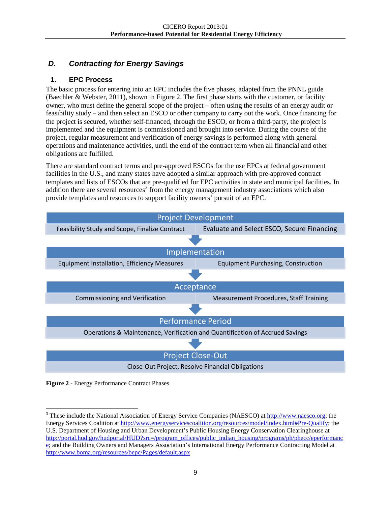# *D. Contracting for Energy Savings*

## **1. EPC Process**

<span id="page-11-0"></span>The basic process for entering into an EPC includes the five phases, adapted from the PNNL guide (Baechler & Webster, 2011), shown in [Figure 2.](#page-11-1) The first phase starts with the customer, or facility owner, who must define the general scope of the project – often using the results of an energy audit or feasibility study – and then select an ESCO or other company to carry out the work. Once financing for the project is secured, whether self-financed, through the ESCO, or from a third-party, the project is implemented and the equipment is commissioned and brought into service. During the course of the project, regular measurement and verification of energy savings is performed along with general operations and maintenance activities, until the end of the contract term when all financial and other obligations are fulfilled.

There are standard contract terms and pre-approved ESCOs for the use EPCs at federal government facilities in the U.S., and many states have adopted a similar approach with pre-approved contract templates and lists of ESCOs that are pre-qualified for EPC activities in state and municipal facilities. In addition there are several resources<sup>[3](#page-11-2)</sup> from the energy management industry associations which also provide templates and resources to support facility owners' pursuit of an EPC.



<span id="page-11-1"></span>

<span id="page-11-2"></span><sup>&</sup>lt;sup>3</sup> These include the National Association of Energy Service Companies (NAESCO) at [http://www.naesco.org;](http://www.naesco.org/) the Energy Services Coalition at [http://www.energyservicescoalition.org/resources/model/index.html#Pre-Qualify;](http://www.energyservicescoalition.org/resources/model/index.html#Pre-Qualify) the U.S. Department of Housing and Urban Development's Public Housing Energy Conservation Clearinghouse at [http://portal.hud.gov/hudportal/HUD?src=/program\\_offices/public\\_indian\\_housing/programs/ph/phecc/eperformanc](http://portal.hud.gov/hudportal/HUD?src=/program_offices/public_indian_housing/programs/ph/phecc/eperformance) [e;](http://portal.hud.gov/hudportal/HUD?src=/program_offices/public_indian_housing/programs/ph/phecc/eperformance) and the Building Owners and Managers Association's International Energy Performance Contracting Model at <http://www.boma.org/resources/bepc/Pages/default.aspx>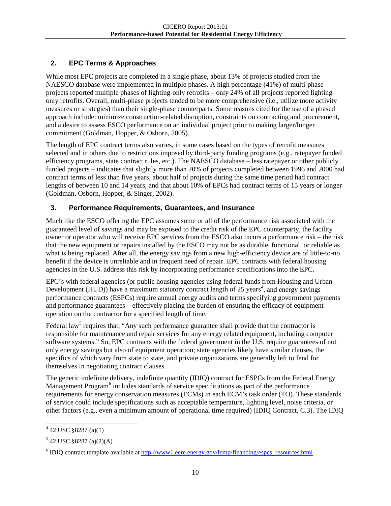# **2. EPC Terms & Approaches**

While most EPC projects are completed in a single phase, about 13% of projects studied from the NAESCO database were implemented in multiple phases. A high percentage (41%) of multi-phase projects reported multiple phases of lighting-only retrofits – only 24% of all projects reported lightingonly retrofits. Overall, multi-phase projects tended to be more comprehensive (i.e., utilize more activity measures or strategies) than their single-phase counterparts. Some reasons cited for the use of a phased approach include: minimize construction-related disruption, constraints on contracting and procurement, and a desire to assess ESCO performance on an individual project prior to making larger/longer commitment (Goldman, Hopper, & Osborn, 2005).

The length of EPC contract terms also varies, in some cases based on the types of retrofit measures selected and in others due to restrictions imposed by third-party funding programs (e.g., ratepayer funded efficiency programs, state contract rules, etc.). The NAESCO database – less ratepayer or other publicly funded projects – indicates that slightly more than 20% of projects completed between 1996 and 2000 had contract terms of less than five years, about half of projects during the same time period had contract lengths of between 10 and 14 years, and that about 10% of EPCs had contract terms of 15 years or longer (Goldman, Osborn, Hopper, & Singer, 2002).

# **3. Performance Requirements, Guarantees, and Insurance**

Much like the ESCO offering the EPC assumes some or all of the performance risk associated with the guaranteed level of savings and may be exposed to the credit risk of the EPC counterparty, the facility owner or operator who will receive EPC services from the ESCO also incurs a performance risk – the risk that the new equipment or repairs installed by the ESCO may not be as durable, functional, or reliable as what is being replaced. After all, the energy savings from a new high-efficiency device are of little-to-no benefit if the device is unreliable and in frequent need of repair. EPC contracts with federal housing agencies in the U.S. address this risk by incorporating performance specifications into the EPC.

EPC's with federal agencies (or public housing agencies using federal funds from Housing and Urban Development (HUD)) have a maximum statutory contract length of  $25$  years<sup>[4](#page-12-0)</sup>, and energy savings performance contracts (ESPCs) require annual energy audits and terms specifying government payments and performance guarantees – effectively placing the burden of ensuring the efficacy of equipment operation on the contractor for a specified length of time.

Federal law<sup>[5](#page-12-1)</sup> requires that, "Any such performance guarantee shall provide that the contractor is responsible for maintenance and repair services for any energy related equipment, including computer software systems." So, EPC contracts with the federal government in the U.S. require guarantees of not only energy savings but also of equipment operation; state agencies likely have similar clauses, the specifics of which vary from state to state, and private organizations are generally left to fend for themselves in negotiating contract clauses.

The generic indefinite delivery, indefinite quantity (IDIQ) contract for ESPCs from the Federal Energy Management Program<sup>[6](#page-12-2)</sup> includes standards of service specifications as part of the performance requirements for energy conservation measures (ECMs) in each ECM's task order (TO). These standards of service could include specifications such as acceptable temperature, lighting level, noise criteria, or other factors (e.g., even a minimum amount of operational time required) (IDIQ Contract, C.3). The IDIQ

<span id="page-12-0"></span> $4$  42 USC §8287 (a)(1)

<span id="page-12-1"></span> $5$  42 USC §8287 (a)(2)(A)

<span id="page-12-2"></span><sup>6</sup> IDIQ contract template available at [http://www1.eere.energy.gov/femp/financing/espcs\\_resources.html](http://www1.eere.energy.gov/femp/financing/espcs_resources.html)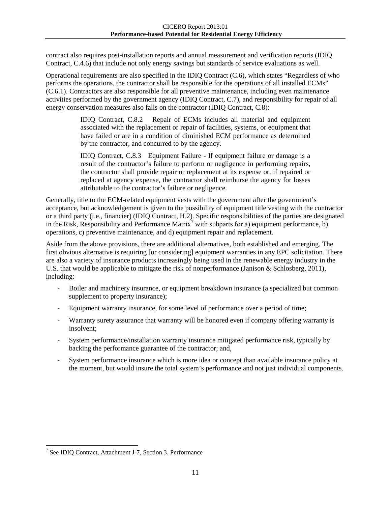contract also requires post-installation reports and annual measurement and verification reports (IDIQ Contract, C.4.6) that include not only energy savings but standards of service evaluations as well.

Operational requirements are also specified in the IDIQ Contract (C.6), which states "Regardless of who performs the operations, the contractor shall be responsible for the operations of all installed ECMs" (C.6.1). Contractors are also responsible for all preventive maintenance, including even maintenance activities performed by the government agency (IDIQ Contract, C.7), and responsibility for repair of all energy conservation measures also falls on the contractor (IDIQ Contract, C.8):

> IDIQ Contract, C.8.2 Repair of ECMs includes all material and equipment associated with the replacement or repair of facilities, systems, or equipment that have failed or are in a condition of diminished ECM performance as determined by the contractor, and concurred to by the agency.

> IDIQ Contract, C.8.3 Equipment Failure - If equipment failure or damage is a result of the contractor's failure to perform or negligence in performing repairs, the contractor shall provide repair or replacement at its expense or, if repaired or replaced at agency expense, the contractor shall reimburse the agency for losses attributable to the contractor's failure or negligence.

Generally, title to the ECM-related equipment vests with the government after the government's acceptance, but acknowledgement is given to the possibility of equipment title vesting with the contractor or a third party (i.e., financier) (IDIQ Contract, H.2). Specific responsibilities of the parties are designated in the Risk, Responsibility and Performance Matrix<sup>[7](#page-13-0)</sup> with subparts for a) equipment performance, b) operations, c) preventive maintenance, and d) equipment repair and replacement.

Aside from the above provisions, there are additional alternatives, both established and emerging. The first obvious alternative is requiring [or considering] equipment warranties in any EPC solicitation. There are also a variety of insurance products increasingly being used in the renewable energy industry in the U.S. that would be applicable to mitigate the risk of nonperformance (Janison & Schlosberg, 2011), including:

- Boiler and machinery insurance, or equipment breakdown insurance (a specialized but common supplement to property insurance);
- Equipment warranty insurance, for some level of performance over a period of time;
- Warranty surety assurance that warranty will be honored even if company offering warranty is insolvent;
- System performance/installation warranty insurance mitigated performance risk, typically by backing the performance guarantee of the contractor; and,
- System performance insurance which is more idea or concept than available insurance policy at the moment, but would insure the total system's performance and not just individual components.

<span id="page-13-0"></span><sup>&</sup>lt;sup>7</sup> See IDIQ Contract, Attachment J-7, Section 3. Performance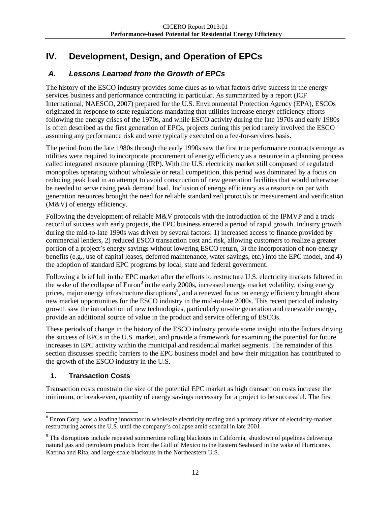# **IV. Development, Design, and Operation of EPCs**

# *A. Lessons Learned from the Growth of EPCs*

<span id="page-14-1"></span><span id="page-14-0"></span>The history of the ESCO industry provides some clues as to what factors drive success in the energy services business and performance contracting in particular. As summarized by a report (ICF International, NAESCO, 2007) prepared for the U.S. Environmental Protection Agency (EPA), ESCOs originated in response to state regulations mandating that utilities increase energy efficiency efforts following the energy crises of the 1970s, and while ESCO activity during the late 1970s and early 1980s is often described as the first generation of EPCs, projects during this period rarely involved the ESCO assuming any performance risk and were typically executed on a fee-for-services basis.

The period from the late 1980s through the early 1990s saw the first true performance contracts emerge as utilities were required to incorporate procurement of energy efficiency as a resource in a planning process called integrated resource planning (IRP). With the U.S. electricity market still composed of regulated monopolies operating without wholesale or retail competition, this period was dominated by a focus on reducing peak load in an attempt to avoid construction of new generation facilities that would otherwise be needed to serve rising peak demand load. Inclusion of energy efficiency as a resource on par with generation resources brought the need for reliable standardized protocols or measurement and verification (M&V) of energy efficiency.

Following the development of reliable M&V protocols with the introduction of the IPMVP and a track record of success with early projects, the EPC business entered a period of rapid growth. Industry growth during the mid-to-late 1990s was driven by several factors: 1) increased access to finance provided by commercial lenders, 2) reduced ESCO transaction cost and risk, allowing customers to realize a greater portion of a project's energy savings without lowering ESCO return, 3) the incorporation of non-energy benefits (e.g., use of capital leases, deferred maintenance, water savings, etc.) into the EPC model, and 4) the adoption of standard EPC programs by local, state and federal government.

Following a brief lull in the EPC market after the efforts to restructure U.S. electricity markets faltered in the wake of the collapse of Enron<sup>[8](#page-14-2)</sup> in the early 2000s, increased energy market volatility, rising energy prices, major energy infrastructure disruptions<sup>[9](#page-14-3)</sup>, and a renewed focus on energy efficiency brought about new market opportunities for the ESCO industry in the mid-to-late 2000s. This recent period of industry growth saw the introduction of new technologies, particularly on-site generation and renewable energy, provide an additional source of value in the product and service offering of ESCOs.

These periods of change in the history of the ESCO industry provide some insight into the factors driving the success of EPCs in the U.S. market, and provide a framework for examining the potential for future increases in EPC activity within the municipal and residential market segments. The remainder of this section discusses specific barriers to the EPC business model and how their mitigation has contributed to the growth of the ESCO industry in the U.S.

# **1. Transaction Costs**

Transaction costs constrain the size of the potential EPC market as high transaction costs increase the minimum, or break-even, quantity of energy savings necessary for a project to be successful. The first

<span id="page-14-2"></span><sup>&</sup>lt;sup>8</sup> Enron Corp. was a leading innovator in wholesale electricity trading and a primary driver of electricity-market restructuring across the U.S. until the company's collapse amid scandal in late 2001.

<span id="page-14-3"></span><sup>&</sup>lt;sup>9</sup> The disruptions include repeated summertime rolling blackouts in California, shutdown of pipelines delivering natural gas and petroleum products from the Gulf of Mexico to the Eastern Seaboard in the wake of Hurricanes Katrina and Rita, and large-scale blackouts in the Northeastern U.S.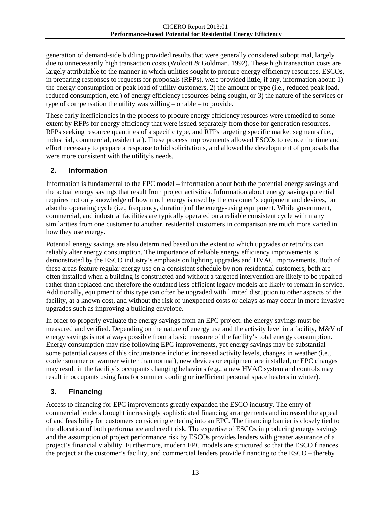generation of demand-side bidding provided results that were generally considered suboptimal, largely due to unnecessarily high transaction costs (Wolcott & Goldman, 1992). These high transaction costs are largely attributable to the manner in which utilities sought to procure energy efficiency resources. ESCOs, in preparing responses to requests for proposals (RFPs), were provided little, if any, information about: 1) the energy consumption or peak load of utility customers, 2) the amount or type (i.e., reduced peak load, reduced consumption, etc.) of energy efficiency resources being sought, or 3) the nature of the services or type of compensation the utility was willing – or able – to provide.

These early inefficiencies in the process to procure energy efficiency resources were remedied to some extent by RFPs for energy efficiency that were issued separately from those for generation resources, RFPs seeking resource quantities of a specific type, and RFPs targeting specific market segments (i.e., industrial, commercial, residential). These process improvements allowed ESCOs to reduce the time and effort necessary to prepare a response to bid solicitations, and allowed the development of proposals that were more consistent with the utility's needs.

#### **2. Information**

Information is fundamental to the EPC model – information about both the potential energy savings and the actual energy savings that result from project activities. Information about energy savings potential requires not only knowledge of how much energy is used by the customer's equipment and devices, but also the operating cycle (i.e., frequency, duration) of the energy-using equipment. While government, commercial, and industrial facilities are typically operated on a reliable consistent cycle with many similarities from one customer to another, residential customers in comparison are much more varied in how they use energy.

Potential energy savings are also determined based on the extent to which upgrades or retrofits can reliably alter energy consumption. The importance of reliable energy efficiency improvements is demonstrated by the ESCO industry's emphasis on lighting upgrades and HVAC improvements. Both of these areas feature regular energy use on a consistent schedule by non-residential customers, both are often installed when a building is constructed and without a targeted intervention are likely to be repaired rather than replaced and therefore the outdated less-efficient legacy models are likely to remain in service. Additionally, equipment of this type can often be upgraded with limited disruption to other aspects of the facility, at a known cost, and without the risk of unexpected costs or delays as may occur in more invasive upgrades such as improving a building envelope.

In order to properly evaluate the energy savings from an EPC project, the energy savings must be measured and verified. Depending on the nature of energy use and the activity level in a facility, M&V of energy savings is not always possible from a basic measure of the facility's total energy consumption. Energy consumption may rise following EPC improvements, yet energy savings may be substantial – some potential causes of this circumstance include: increased activity levels, changes in weather (i.e., cooler summer or warmer winter than normal), new devices or equipment are installed, or EPC changes may result in the facility's occupants changing behaviors (e.g., a new HVAC system and controls may result in occupants using fans for summer cooling or inefficient personal space heaters in winter).

#### **3. Financing**

Access to financing for EPC improvements greatly expanded the ESCO industry. The entry of commercial lenders brought increasingly sophisticated financing arrangements and increased the appeal of and feasibility for customers considering entering into an EPC. The financing barrier is closely tied to the allocation of both performance and credit risk. The expertise of ESCOs in producing energy savings and the assumption of project performance risk by ESCOs provides lenders with greater assurance of a project's financial viability. Furthermore, modern EPC models are structured so that the ESCO finances the project at the customer's facility, and commercial lenders provide financing to the ESCO – thereby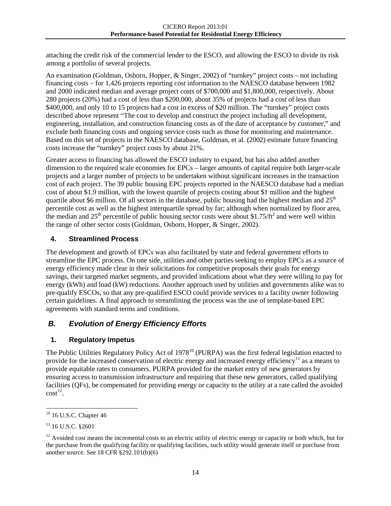attaching the credit risk of the commercial lender to the ESCO, and allowing the ESCO to divide its risk among a portfolio of several projects.

An examination (Goldman, Osborn, Hopper, & Singer, 2002) of "turnkey" project costs – not including financing costs – for 1,426 projects reporting cost information to the NAESCO database between 1982 and 2000 indicated median and average project costs of \$700,000 and \$1,800,000, respectively. About 280 projects (20%) had a cost of less than \$200,000, about 35% of projects had a cost of less than \$400,000, and only 10 to 15 projects had a cost in excess of \$20 million. The "turnkey" project costs described above represent "The cost to develop and construct the project including all development, engineering, installation, and construction financing costs as of the date of acceptance by customer," and exclude both financing costs and ongoing service costs such as those for monitoring and maintenance. Based on this set of projects in the NAESCO database, Goldman, et al. (2002) estimate future financing costs increase the "turnkey" project costs by about 21%.

Greater access to financing has allowed the ESCO industry to expand, but has also added another dimension to the required scale economies for EPCs – larger amounts of capital require both larger-scale projects and a larger number of projects to be undertaken without significant increases in the transaction cost of each project. The 39 public housing EPC projects reported in the NAESCO database had a median cost of about \$1.9 million, with the lowest quartile of projects costing about \$1 million and the highest quartile about \$6 million. Of all sectors in the database, public housing had the highest median and  $25<sup>th</sup>$ percentile cost as well as the highest interquartile spread by far; although when normalized by floor area, the median and  $25<sup>th</sup>$  percentile of public housing sector costs were about \$1.75/ft<sup>2</sup> and were well within the range of other sector costs (Goldman, Osborn, Hopper, & Singer, 2002).

#### **4. Streamlined Process**

The development and growth of EPCs was also facilitated by state and federal government efforts to streamline the EPC process. On one side, utilities and other parties seeking to employ EPCs as a source of energy efficiency made clear in their solicitations for competitive proposals their goals for energy savings, their targeted market segments, and provided indications about what they were willing to pay for energy (kWh) and load (kW) reductions. Another approach used by utilities and governments alike was to pre-qualify ESCOs, so that any pre-qualified ESCO could provide services to a facility owner following certain guidelines. A final approach to streamlining the process was the use of template-based EPC agreements with standard terms and conditions.

# *B. Evolution of Energy Efficiency Efforts*

# **1. Regulatory Impetus**

<span id="page-16-0"></span>The Public Utilities Regulatory Policy Act of 1978<sup>[10](#page-16-1)</sup> (PURPA) was the first federal legislation enacted to provide for the increased conservation of electric energy and increased energy efficiency<sup>[11](#page-16-2)</sup> as a means to provide equitable rates to consumers. PURPA provided for the market entry of new generators by ensuring access to transmission infrastructure and requiring that these new generators, called qualifying facilities (QFs), be compensated for providing energy or capacity to the utility at a rate called the avoided  $\text{cost}^{12}$  $\text{cost}^{12}$  $\text{cost}^{12}$ .

<span id="page-16-1"></span> $10$  16 U.S.C. Chapter 46

<span id="page-16-2"></span> $11$  16 U.S.C. §2601

<span id="page-16-3"></span> $12$  Avoided cost means the incremental costs to an electric utility of electric energy or capacity or both which, but for the purchase from the qualifying facility or qualifying facilities, such utility would generate itself or purchase from another source. See 18 CFR §292.101(b)(6)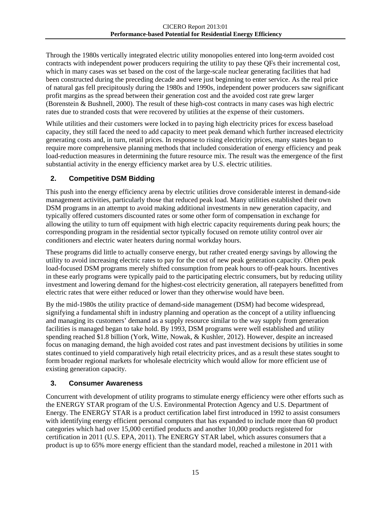Through the 1980s vertically integrated electric utility monopolies entered into long-term avoided cost contracts with independent power producers requiring the utility to pay these QFs their incremental cost, which in many cases was set based on the cost of the large-scale nuclear generating facilities that had been constructed during the preceding decade and were just beginning to enter service. As the real price of natural gas fell precipitously during the 1980s and 1990s, independent power producers saw significant profit margins as the spread between their generation cost and the avoided cost rate grew larger (Borenstein & Bushnell, 2000). The result of these high-cost contracts in many cases was high electric rates due to stranded costs that were recovered by utilities at the expense of their customers.

While utilities and their customers were locked in to paying high electricity prices for excess baseload capacity, they still faced the need to add capacity to meet peak demand which further increased electricity generating costs and, in turn, retail prices. In response to rising electricity prices, many states began to require more comprehensive planning methods that included consideration of energy efficiency and peak load-reduction measures in determining the future resource mix. The result was the emergence of the first substantial activity in the energy efficiency market area by U.S. electric utilities.

## **2. Competitive DSM Bidding**

This push into the energy efficiency arena by electric utilities drove considerable interest in demand-side management activities, particularly those that reduced peak load. Many utilities established their own DSM programs in an attempt to avoid making additional investments in new generation capacity, and typically offered customers discounted rates or some other form of compensation in exchange for allowing the utility to turn off equipment with high electric capacity requirements during peak hours; the corresponding program in the residential sector typically focused on remote utility control over air conditioners and electric water heaters during normal workday hours.

These programs did little to actually conserve energy, but rather created energy savings by allowing the utility to avoid increasing electric rates to pay for the cost of new peak generation capacity. Often peak load-focused DSM programs merely shifted consumption from peak hours to off-peak hours. Incentives in these early programs were typically paid to the participating electric consumers, but by reducing utility investment and lowering demand for the highest-cost electricity generation, all ratepayers benefitted from electric rates that were either reduced or lower than they otherwise would have been.

By the mid-1980s the utility practice of demand-side management (DSM) had become widespread, signifying a fundamental shift in industry planning and operation as the concept of a utility influencing and managing its customers' demand as a supply resource similar to the way supply from generation facilities is managed began to take hold. By 1993, DSM programs were well established and utility spending reached \$1.8 billion (York, Witte, Nowak, & Kushler, 2012). However, despite an increased focus on managing demand, the high avoided cost rates and past investment decisions by utilities in some states continued to yield comparatively high retail electricity prices, and as a result these states sought to form broader regional markets for wholesale electricity which would allow for more efficient use of existing generation capacity.

#### **3. Consumer Awareness**

Concurrent with development of utility programs to stimulate energy efficiency were other efforts such as the ENERGY STAR program of the U.S. Environmental Protection Agency and U.S. Department of Energy. The ENERGY STAR is a product certification label first introduced in 1992 to assist consumers with identifying energy efficient personal computers that has expanded to include more than 60 product categories which had over 15,000 certified products and another 10,000 products registered for certification in 2011 (U.S. EPA, 2011). The ENERGY STAR label, which assures consumers that a product is up to 65% more energy efficient than the standard model, reached a milestone in 2011 with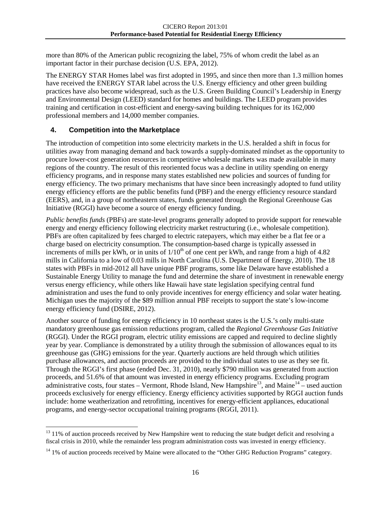more than 80% of the American public recognizing the label, 75% of whom credit the label as an important factor in their purchase decision (U.S. EPA, 2012).

The ENERGY STAR Homes label was first adopted in 1995, and since then more than 1.3 million homes have received the ENERGY STAR label across the U.S. Energy efficiency and other green building practices have also become widespread, such as the U.S. Green Building Council's Leadership in Energy and Environmental Design (LEED) standard for homes and buildings. The LEED program provides training and certification in cost-efficient and energy-saving building techniques for its 162,000 professional members and 14,000 member companies.

#### **4. Competition into the Marketplace**

The introduction of competition into some electricity markets in the U.S. heralded a shift in focus for utilities away from managing demand and back towards a supply-dominated mindset as the opportunity to procure lower-cost generation resources in competitive wholesale markets was made available in many regions of the country. The result of this reoriented focus was a decline in utility spending on energy efficiency programs, and in response many states established new policies and sources of funding for energy efficiency. The two primary mechanisms that have since been increasingly adopted to fund utility energy efficiency efforts are the public benefits fund (PBF) and the energy efficiency resource standard (EERS), and, in a group of northeastern states, funds generated through the Regional Greenhouse Gas Initiative (RGGI) have become a source of energy efficiency funding.

*Public benefits funds* (PBFs) are state-level programs generally adopted to provide support for renewable energy and energy efficiency following electricity market restructuring (i.e., wholesale competition). PBFs are often capitalized by fees charged to electric ratepayers, which may either be a flat fee or a charge based on electricity consumption. The consumption-based charge is typically assessed in increments of mills per kWh, or in units of  $1/10<sup>th</sup>$  of one cent per kWh, and range from a high of 4.82 mills in California to a low of 0.03 mills in North Carolina (U.S. Department of Energy, 2010). The 18 states with PBFs in mid-2012 all have unique PBF programs, some like Delaware have established a Sustainable Energy Utility to manage the fund and determine the share of investment in renewable energy versus energy efficiency, while others like Hawaii have state legislation specifying central fund administration and uses the fund to only provide incentives for energy efficiency and solar water heating. Michigan uses the majority of the \$89 million annual PBF receipts to support the state's low-income energy efficiency fund (DSIRE, 2012).

Another source of funding for energy efficiency in 10 northeast states is the U.S.'s only multi-state mandatory greenhouse gas emission reductions program, called the *Regional Greenhouse Gas Initiative* (RGGI). Under the RGGI program, electric utility emissions are capped and required to decline slightly year by year. Compliance is demonstrated by a utility through the submission of allowances equal to its greenhouse gas (GHG) emissions for the year. Quarterly auctions are held through which utilities purchase allowances, and auction proceeds are provided to the individual states to use as they see fit. Through the RGGI's first phase (ended Dec. 31, 2010), nearly \$790 million was generated from auction proceeds, and 51.6% of that amount was invested in energy efficiency programs. Excluding program administrative costs, four states – Vermont, Rhode Island, New Hampshire<sup>[13](#page-18-0)</sup>, and Maine<sup>[14](#page-18-1)</sup> – used auction proceeds exclusively for energy efficiency. Energy efficiency activities supported by RGGI auction funds include: home weatherization and retrofitting, incentives for energy-efficient appliances, educational programs, and energy-sector occupational training programs (RGGI, 2011).

<span id="page-18-0"></span><sup>&</sup>lt;sup>13</sup> 11% of auction proceeds received by New Hampshire went to reducing the state budget deficit and resolving a fiscal crisis in 2010, while the remainder less program administration costs was invested in energy efficiency.

<span id="page-18-1"></span><sup>&</sup>lt;sup>14</sup> 1% of auction proceeds received by Maine were allocated to the "Other GHG Reduction Programs" category.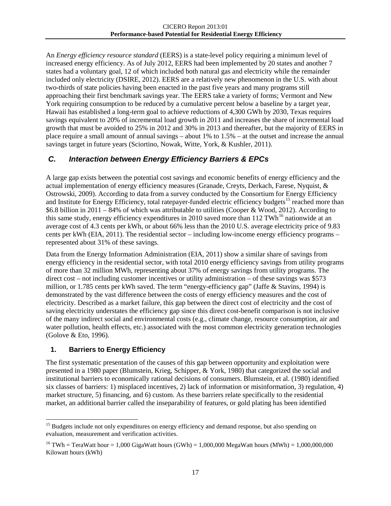An *Energy efficiency resource standard* (EERS) is a state-level policy requiring a minimum level of increased energy efficiency. As of July 2012, EERS had been implemented by 20 states and another 7 states had a voluntary goal, 12 of which included both natural gas and electricity while the remainder included only electricity (DSIRE, 2012). EERS are a relatively new phenomenon in the U.S. with about two-thirds of state policies having been enacted in the past five years and many programs still approaching their first benchmark savings year. The EERS take a variety of forms; Vermont and New York requiring consumption to be reduced by a cumulative percent below a baseline by a target year, Hawaii has established a long-term goal to achieve reductions of 4,300 GWh by 2030, Texas requires savings equivalent to 20% of incremental load growth in 2011 and increases the share of incremental load growth that must be avoided to 25% in 2012 and 30% in 2013 and thereafter, but the majority of EERS in place require a small amount of annual savings – about 1% to 1.5% – at the outset and increase the annual savings target in future years (Sciortino, Nowak, Witte, York, & Kushler, 2011).

## *C. Interaction between Energy Efficiency Barriers & EPCs*

<span id="page-19-0"></span>A large gap exists between the potential cost savings and economic benefits of energy efficiency and the actual implementation of energy efficiency measures (Granade, Creyts, Derkach, Farese, Nyquist, & Ostrowski, 2009). According to data from a survey conducted by the Consortium for Energy Efficiency and Institute for Energy Efficiency, total ratepayer-funded electric efficiency budgets<sup>[15](#page-19-1)</sup> reached more than \$6.8 billion in 2011 – 84% of which was attributable to utilities (Cooper & Wood, 2012). According to this same study, energy efficiency expenditures in 2010 saved more than 112 TWh<sup>[16](#page-19-2)</sup> nationwide at an average cost of 4.3 cents per kWh, or about 66% less than the 2010 U.S. average electricity price of 9.83 cents per kWh (EIA, 2011). The residential sector – including low-income energy efficiency programs – represented about 31% of these savings.

Data from the Energy Information Administration (EIA, 2011) show a similar share of savings from energy efficiency in the residential sector, with total 2010 energy efficiency savings from utility programs of more than 32 million MWh, representing about 37% of energy savings from utility programs. The direct cost – not including customer incentives or utility administration – of these savings was \$573 million, or 1.785 cents per kWh saved. The term "energy-efficiency gap" (Jaffe & Stavins, 1994) is demonstrated by the vast difference between the costs of energy efficiency measures and the cost of electricity. Described as a market failure, this gap between the direct cost of electricity and the cost of saving electricity understates the efficiency gap since this direct cost-benefit comparison is not inclusive of the many indirect social and environmental costs (e.g., climate change, resource consumption, air and water pollution, health effects, etc.) associated with the most common electricity generation technologies (Golove & Eto, 1996).

#### **1. Barriers to Energy Efficiency**

The first systematic presentation of the causes of this gap between opportunity and exploitation were presented in a 1980 paper (Blumstein, Krieg, Schipper, & York, 1980) that categorized the social and institutional barriers to economically rational decisions of consumers. Blumstein, et al. (1980) identified six classes of barriers: 1) misplaced incentives, 2) lack of information or misinformation, 3) regulation, 4) market structure, 5) financing, and 6) custom. As these barriers relate specifically to the residential market, an additional barrier called the inseparability of features, or gold plating has been identified

<span id="page-19-1"></span><sup>&</sup>lt;sup>15</sup> Budgets include not only expenditures on energy efficiency and demand response, but also spending on evaluation, measurement and verification activities.

<span id="page-19-2"></span><sup>&</sup>lt;sup>16</sup> TWh = TeraWatt hour = 1,000 GigaWatt hours (GWh) = 1,000,000 MegaWatt hours (MWh) = 1,000,000,000 Kilowatt hours (kWh)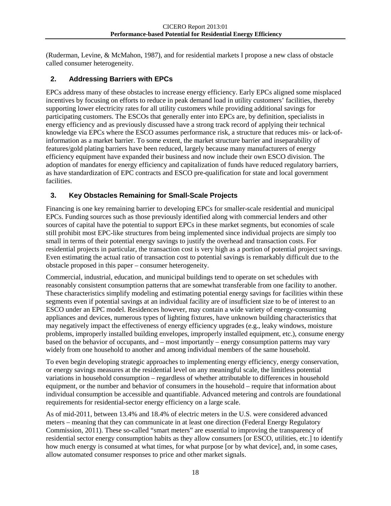(Ruderman, Levine, & McMahon, 1987), and for residential markets I propose a new class of obstacle called consumer heterogeneity.

## **2. Addressing Barriers with EPCs**

EPCs address many of these obstacles to increase energy efficiency. Early EPCs aligned some misplaced incentives by focusing on efforts to reduce in peak demand load in utility customers' facilities, thereby supporting lower electricity rates for all utility customers while providing additional savings for participating customers. The ESCOs that generally enter into EPCs are, by definition, specialists in energy efficiency and as previously discussed have a strong track record of applying their technical knowledge via EPCs where the ESCO assumes performance risk, a structure that reduces mis- or lack-ofinformation as a market barrier. To some extent, the market structure barrier and inseparability of features/gold plating barriers have been reduced, largely because many manufacturers of energy efficiency equipment have expanded their business and now include their own ESCO division. The adoption of mandates for energy efficiency and capitalization of funds have reduced regulatory barriers, as have standardization of EPC contracts and ESCO pre-qualification for state and local government facilities.

#### **3. Key Obstacles Remaining for Small-Scale Projects**

Financing is one key remaining barrier to developing EPCs for smaller-scale residential and municipal EPCs. Funding sources such as those previously identified along with commercial lenders and other sources of capital have the potential to support EPCs in these market segments, but economies of scale still prohibit most EPC-like structures from being implemented since individual projects are simply too small in terms of their potential energy savings to justify the overhead and transaction costs. For residential projects in particular, the transaction cost is very high as a portion of potential project savings. Even estimating the actual ratio of transaction cost to potential savings is remarkably difficult due to the obstacle proposed in this paper – consumer heterogeneity.

Commercial, industrial, education, and municipal buildings tend to operate on set schedules with reasonably consistent consumption patterns that are somewhat transferable from one facility to another. These characteristics simplify modeling and estimating potential energy savings for facilities within these segments even if potential savings at an individual facility are of insufficient size to be of interest to an ESCO under an EPC model. Residences however, may contain a wide variety of energy-consuming appliances and devices, numerous types of lighting fixtures, have unknown building characteristics that may negatively impact the effectiveness of energy efficiency upgrades (e.g., leaky windows, moisture problems, improperly installed building envelopes, improperly installed equipment, etc.), consume energy based on the behavior of occupants, and – most importantly – energy consumption patterns may vary widely from one household to another and among individual members of the same household.

To even begin developing strategic approaches to implementing energy efficiency, energy conservation, or energy savings measures at the residential level on any meaningful scale, the limitless potential variations in household consumption – regardless of whether attributable to differences in household equipment, or the number and behavior of consumers in the household – require that information about individual consumption be accessible and quantifiable. Advanced metering and controls are foundational requirements for residential-sector energy efficiency on a large scale.

As of mid-2011, between 13.4% and 18.4% of electric meters in the U.S. were considered advanced meters – meaning that they can communicate in at least one direction (Federal Energy Regulatory Commission, 2011). These so-called "smart meters" are essential to improving the transparency of residential sector energy consumption habits as they allow consumers [or ESCO, utilities, etc.] to identify how much energy is consumed at what times, for what purpose [or by what device], and, in some cases, allow automated consumer responses to price and other market signals.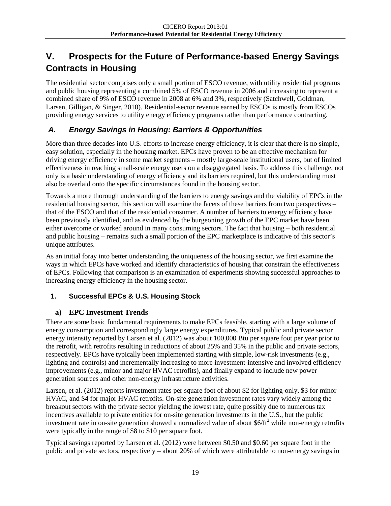# **V. Prospects for the Future of Performance-based Energy Savings Contracts in Housing**

<span id="page-21-0"></span>The residential sector comprises only a small portion of ESCO revenue, with utility residential programs and public housing representing a combined 5% of ESCO revenue in 2006 and increasing to represent a combined share of 9% of ESCO revenue in 2008 at 6% and 3%, respectively (Satchwell, Goldman, Larsen, Gilligan, & Singer, 2010). Residential-sector revenue earned by ESCOs is mostly from ESCOs providing energy services to utility energy efficiency programs rather than performance contracting.

# *A. Energy Savings in Housing: Barriers & Opportunities*

<span id="page-21-1"></span>More than three decades into U.S. efforts to increase energy efficiency, it is clear that there is no simple, easy solution, especially in the housing market. EPCs have proven to be an effective mechanism for driving energy efficiency in some market segments – mostly large-scale institutional users, but of limited effectiveness in reaching small-scale energy users on a disaggregated basis. To address this challenge, not only is a basic understanding of energy efficiency and its barriers required, but this understanding must also be overlaid onto the specific circumstances found in the housing sector.

Towards a more thorough understanding of the barriers to energy savings and the viability of EPCs in the residential housing sector, this section will examine the facets of these barriers from two perspectives – that of the ESCO and that of the residential consumer. A number of barriers to energy efficiency have been previously identified, and as evidenced by the burgeoning growth of the EPC market have been either overcome or worked around in many consuming sectors. The fact that housing – both residential and public housing – remains such a small portion of the EPC marketplace is indicative of this sector's unique attributes.

As an initial foray into better understanding the uniqueness of the housing sector, we first examine the ways in which EPCs have worked and identify characteristics of housing that constrain the effectiveness of EPCs. Following that comparison is an examination of experiments showing successful approaches to increasing energy efficiency in the housing sector.

#### **1. Successful EPCs & U.S. Housing Stock**

#### **a) EPC Investment Trends**

There are some basic fundamental requirements to make EPCs feasible, starting with a large volume of energy consumption and correspondingly large energy expenditures. Typical public and private sector energy intensity reported by Larsen et al. (2012) was about 100,000 Btu per square foot per year prior to the retrofit, with retrofits resulting in reductions of about 25% and 35% in the public and private sectors, respectively. EPCs have typically been implemented starting with simple, low-risk investments (e.g., lighting and controls) and incrementally increasing to more investment-intensive and involved efficiency improvements (e.g., minor and major HVAC retrofits), and finally expand to include new power generation sources and other non-energy infrastructure activities.

Larsen, et al. (2012) reports investment rates per square foot of about \$2 for lighting-only, \$3 for minor HVAC, and \$4 for major HVAC retrofits. On-site generation investment rates vary widely among the breakout sectors with the private sector yielding the lowest rate, quite possibly due to numerous tax incentives available to private entities for on-site generation investments in the U.S., but the public investment rate in on-site generation showed a normalized value of about  $$6/ft^2$  while non-energy retrofits were typically in the range of \$8 to \$10 per square foot.

Typical savings reported by Larsen et al. (2012) were between \$0.50 and \$0.60 per square foot in the public and private sectors, respectively – about 20% of which were attributable to non-energy savings in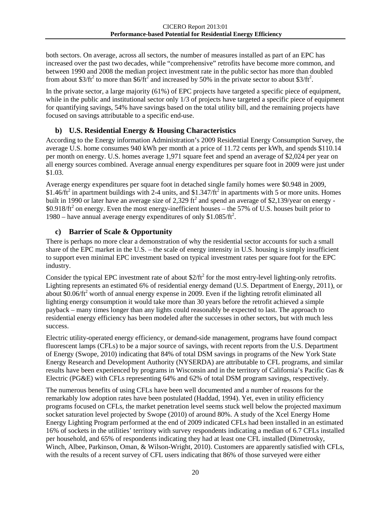both sectors. On average, across all sectors, the number of measures installed as part of an EPC has increased over the past two decades, while "comprehensive" retrofits have become more common, and between 1990 and 2008 the median project investment rate in the public sector has more than doubled from about \$3/ft<sup>2</sup> to more than \$6/ft<sup>2</sup> and increased by 50% in the private sector to about \$3/ft<sup>2</sup>.

In the private sector, a large majority (61%) of EPC projects have targeted a specific piece of equipment, while in the public and institutional sector only 1/3 of projects have targeted a specific piece of equipment for quantifying savings, 54% have savings based on the total utility bill, and the remaining projects have focused on savings attributable to a specific end-use.

## **b) U.S. Residential Energy & Housing Characteristics**

According to the Energy information Administration's 2009 Residential Energy Consumption Survey, the average U.S. home consumes 940 kWh per month at a price of 11.72 cents per kWh, and spends \$110.14 per month on energy. U.S. homes average 1,971 square feet and spend an average of \$2,024 per year on all energy sources combined. Average annual energy expenditures per square foot in 2009 were just under \$1.03.

Average energy expenditures per square foot in detached single family homes were \$0.948 in 2009, \$1.46/ $ft^2$  in apartment buildings with 2-4 units, and \$1.347/ $ft^2$  in apartments with 5 or more units. Homes built in 1990 or later have an average size of 2,329 ft<sup>2</sup> and spend an average of \$2,139/year on energy - $$0.918/ft^2$  on energy. Even the most energy-inefficient houses – the 57% of U.S. houses built prior to 1980 – have annual average energy expenditures of only  $$1.085/ft^2$ .

## **c) Barrier of Scale & Opportunity**

There is perhaps no more clear a demonstration of why the residential sector accounts for such a small share of the EPC market in the U.S. – the scale of energy intensity in U.S. housing is simply insufficient to support even minimal EPC investment based on typical investment rates per square foot for the EPC industry.

Consider the typical EPC investment rate of about  $2/ft^2$  for the most entry-level lighting-only retrofits. Lighting represents an estimated 6% of residential energy demand (U.S. Department of Energy, 2011), or about \$0.06/ft<sup>2</sup> worth of annual energy expense in 2009. Even if the lighting retrofit eliminated all lighting energy consumption it would take more than 30 years before the retrofit achieved a simple payback – many times longer than any lights could reasonably be expected to last. The approach to residential energy efficiency has been modeled after the successes in other sectors, but with much less success.

Electric utility-operated energy efficiency, or demand-side management, programs have found compact fluorescent lamps (CFLs) to be a major source of savings, with recent reports from the U.S. Department of Energy (Swope, 2010) indicating that 84% of total DSM savings in programs of the New York State Energy Research and Development Authority (NYSERDA) are attributable to CFL programs, and similar results have been experienced by programs in Wisconsin and in the territory of California's Pacific Gas & Electric (PG&E) with CFLs representing 64% and 62% of total DSM program savings, respectively.

The numerous benefits of using CFLs have been well documented and a number of reasons for the remarkably low adoption rates have been postulated (Haddad, 1994). Yet, even in utility efficiency programs focused on CFLs, the market penetration level seems stuck well below the projected maximum socket saturation level projected by Swope (2010) of around 80%. A study of the Xcel Energy Home Energy Lighting Program performed at the end of 2009 indicated CFLs had been installed in an estimated 16% of sockets in the utilities' territory with survey respondents indicating a median of 6.7 CFLs installed per household, and 65% of respondents indicating they had at least one CFL installed (Dimetrosky, Winch, Albee, Parkinson, Oman, & Wilson-Wright, 2010). Customers are apparently satisfied with CFLs, with the results of a recent survey of CFL users indicating that 86% of those surveyed were either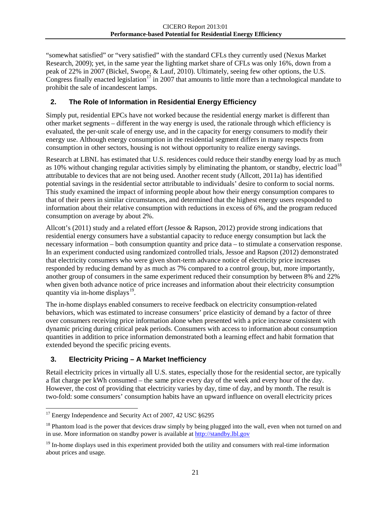"somewhat satisfied" or "very satisfied" with the standard CFLs they currently used (Nexus Market Research, 2009); yet, in the same year the lighting market share of CFLs was only 16%, down from a peak of 22% in 2007 (Bickel, Swope, & Lauf, 2010). Ultimately, seeing few other options, the U.S. Congress finally enacted legislation<sup>[17](#page-23-0)</sup> in 2007 that amounts to little more than a technological mandate to prohibit the sale of incandescent lamps.

## **2. The Role of Information in Residential Energy Efficiency**

Simply put, residential EPCs have not worked because the residential energy market is different than other market segments – different in the way energy is used, the rationale through which efficiency is evaluated, the per-unit scale of energy use, and in the capacity for energy consumers to modify their energy use. Although energy consumption in the residential segment differs in many respects from consumption in other sectors, housing is not without opportunity to realize energy savings.

Research at LBNL has estimated that U.S. residences could reduce their standby energy load by as much as 10% without changing regular activities simply by eliminating the phantom, or standby, electric load<sup>[18](#page-23-1)</sup> attributable to devices that are not being used. Another recent study (Allcott, 2011a) has identified potential savings in the residential sector attributable to individuals' desire to conform to social norms. This study examined the impact of informing people about how their energy consumption compares to that of their peers in similar circumstances, and determined that the highest energy users responded to information about their relative consumption with reductions in excess of 6%, and the program reduced consumption on average by about 2%.

Allcott's (2011) study and a related effort (Jessoe & Rapson, 2012) provide strong indications that residential energy consumers have a substantial capacity to reduce energy consumption but lack the necessary information – both consumption quantity and price data – to stimulate a conservation response. In an experiment conducted using randomized controlled trials, Jessoe and Rapson (2012) demonstrated that electricity consumers who were given short-term advance notice of electricity price increases responded by reducing demand by as much as 7% compared to a control group, but, more importantly, another group of consumers in the same experiment reduced their consumption by between 8% and 22% when given both advance notice of price increases and information about their electricity consumption quantity via in-home displays $^{19}$  $^{19}$  $^{19}$ .

The in-home displays enabled consumers to receive feedback on electricity consumption-related behaviors, which was estimated to increase consumers' price elasticity of demand by a factor of three over consumers receiving price information alone when presented with a price increase consistent with dynamic pricing during critical peak periods. Consumers with access to information about consumption quantities in addition to price information demonstrated both a learning effect and habit formation that extended beyond the specific pricing events.

#### **3. Electricity Pricing – A Market Inefficiency**

Retail electricity prices in virtually all U.S. states, especially those for the residential sector, are typically a flat charge per kWh consumed – the same price every day of the week and every hour of the day. However, the cost of providing that electricity varies by day, time of day, and by month. The result is two-fold: some consumers' consumption habits have an upward influence on overall electricity prices

<span id="page-23-0"></span> $17$  Energy Independence and Security Act of 2007, 42 USC  $§6295$ 

<span id="page-23-1"></span><sup>&</sup>lt;sup>18</sup> Phantom load is the power that devices draw simply by being plugged into the wall, even when not turned on and in use. More information on standby power is available a[t http://standby.lbl.gov](http://standby.lbl.gov/)

<span id="page-23-2"></span> $19$  In-home displays used in this experiment provided both the utility and consumers with real-time information about prices and usage.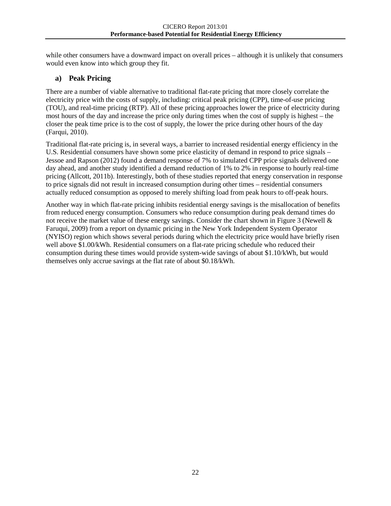while other consumers have a downward impact on overall prices – although it is unlikely that consumers would even know into which group they fit.

#### **a) Peak Pricing**

There are a number of viable alternative to traditional flat-rate pricing that more closely correlate the electricity price with the costs of supply, including: critical peak pricing (CPP), time-of-use pricing (TOU), and real-time pricing (RTP). All of these pricing approaches lower the price of electricity during most hours of the day and increase the price only during times when the cost of supply is highest – the closer the peak time price is to the cost of supply, the lower the price during other hours of the day (Farqui, 2010).

Traditional flat-rate pricing is, in several ways, a barrier to increased residential energy efficiency in the U.S. Residential consumers have shown some price elasticity of demand in respond to price signals – Jessoe and Rapson (2012) found a demand response of 7% to simulated CPP price signals delivered one day ahead, and another study identified a demand reduction of 1% to 2% in response to hourly real-time pricing (Allcott, 2011b). Interestingly, both of these studies reported that energy conservation in response to price signals did not result in increased consumption during other times – residential consumers actually reduced consumption as opposed to merely shifting load from peak hours to off-peak hours.

Another way in which flat-rate pricing inhibits residential energy savings is the misallocation of benefits from reduced energy consumption. Consumers who reduce consumption during peak demand times do not receive the market value of these energy savings. Consider the chart shown in [Figure 3](#page-25-0) (Newell & Faruqui, 2009) from a report on dynamic pricing in the New York Independent System Operator (NYISO) region which shows several periods during which the electricity price would have briefly risen well above \$1.00/kWh. Residential consumers on a flat-rate pricing schedule who reduced their consumption during these times would provide system-wide savings of about \$1.10/kWh, but would themselves only accrue savings at the flat rate of about \$0.18/kWh.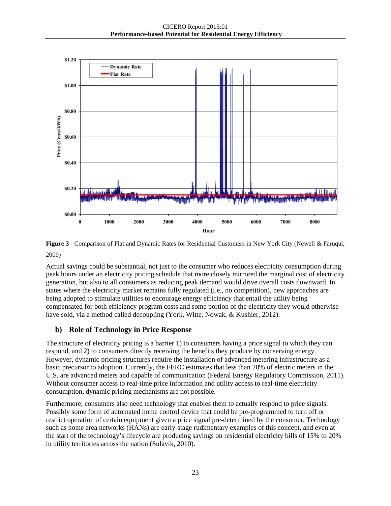

<span id="page-25-0"></span>**Figure 3** - Comparison of Flat and Dynamic Rates for Residential Customers in New York City (Newell & Faruqui, 2009)

Actual savings could be substantial, not just to the consumer who reduces electricity consumption during peak hours under an electricity pricing schedule that more closely mirrored the marginal cost of electricity generation, but also to all consumers as reducing peak demand would drive overall costs downward. In states where the electricity market remains fully regulated (i.e., no competition), new approaches are being adopted to stimulate utilities to encourage energy efficiency that entail the utility being compensated for both efficiency program costs and some portion of the electricity they would otherwise have sold, via a method called decoupling (York, Witte, Nowak, & Kushler, 2012).

#### **b) Role of Technology in Price Response**

The structure of electricity pricing is a barrier 1) to consumers having a price signal to which they can respond, and 2) to consumers directly receiving the benefits they produce by conserving energy. However, dynamic pricing structures require the installation of advanced metering infrastructure as a basic precursor to adoption. Currently, the FERC estimates that less than 20% of electric meters in the U.S. are advanced meters and capable of communication (Federal Energy Regulatory Commission, 2011). Without consumer access to real-time price information and utility access to real-time electricity consumption, dynamic pricing mechanisms are not possible.

Furthermore, consumers also need technology that enables them to actually respond to price signals. Possibly some form of automated home control device that could be pre-programmed to turn off or restrict operation of certain equipment given a price signal pre-determined by the consumer. Technology such as home area networks (HANs) are early-stage rudimentary examples of this concept, and even at the start of the technology's lifecycle are producing savings on residential electricity bills of 15% to 20% in utility territories across the nation (Sulavik, 2010).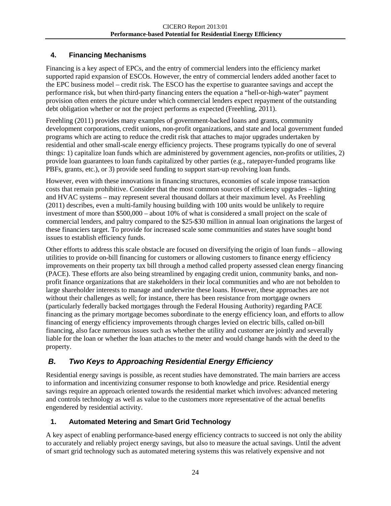# **4. Financing Mechanisms**

Financing is a key aspect of EPCs, and the entry of commercial lenders into the efficiency market supported rapid expansion of ESCOs. However, the entry of commercial lenders added another facet to the EPC business model – credit risk. The ESCO has the expertise to guarantee savings and accept the performance risk, but when third-party financing enters the equation a "hell-or-high-water" payment provision often enters the picture under which commercial lenders expect repayment of the outstanding debt obligation whether or not the project performs as expected (Freehling, 2011).

Freehling (2011) provides many examples of government-backed loans and grants, community development corporations, credit unions, non-profit organizations, and state and local government funded programs which are acting to reduce the credit risk that attaches to major upgrades undertaken by residential and other small-scale energy efficiency projects. These programs typically do one of several things: 1) capitalize loan funds which are administered by government agencies, non-profits or utilities, 2) provide loan guarantees to loan funds capitalized by other parties (e.g., ratepayer-funded programs like PBFs, grants, etc.), or 3) provide seed funding to support start-up revolving loan funds.

However, even with these innovations in financing structures, economies of scale impose transaction costs that remain prohibitive. Consider that the most common sources of efficiency upgrades – lighting and HVAC systems – may represent several thousand dollars at their maximum level. As Freehling (2011) describes, even a multi-family housing building with 100 units would be unlikely to require investment of more than \$500,000 – about 10% of what is considered a small project on the scale of commercial lenders, and paltry compared to the \$25-\$30 million in annual loan originations the largest of these financiers target. To provide for increased scale some communities and states have sought bond issues to establish efficiency funds.

Other efforts to address this scale obstacle are focused on diversifying the origin of loan funds – allowing utilities to provide on-bill financing for customers or allowing customers to finance energy efficiency improvements on their property tax bill through a method called property assessed clean energy financing (PACE). These efforts are also being streamlined by engaging credit union, community banks, and nonprofit finance organizations that are stakeholders in their local communities and who are not beholden to large shareholder interests to manage and underwrite these loans. However, these approaches are not without their challenges as well; for instance, there has been resistance from mortgage owners (particularly federally backed mortgages through the Federal Housing Authority) regarding PACE financing as the primary mortgage becomes subordinate to the energy efficiency loan, and efforts to allow financing of energy efficiency improvements through charges levied on electric bills, called on-bill financing, also face numerous issues such as whether the utility and customer are jointly and severally liable for the loan or whether the loan attaches to the meter and would change hands with the deed to the property.

# *B. Two Keys to Approaching Residential Energy Efficiency*

<span id="page-26-0"></span>Residential energy savings is possible, as recent studies have demonstrated. The main barriers are access to information and incentivizing consumer response to both knowledge and price. Residential energy savings require an approach oriented towards the residential market which involves: advanced metering and controls technology as well as value to the customers more representative of the actual benefits engendered by residential activity.

#### **1. Automated Metering and Smart Grid Technology**

A key aspect of enabling performance-based energy efficiency contracts to succeed is not only the ability to accurately and reliably project energy savings, but also to measure the actual savings. Until the advent of smart grid technology such as automated metering systems this was relatively expensive and not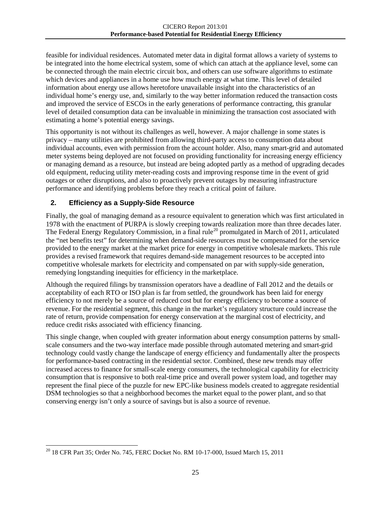feasible for individual residences. Automated meter data in digital format allows a variety of systems to be integrated into the home electrical system, some of which can attach at the appliance level, some can be connected through the main electric circuit box, and others can use software algorithms to estimate which devices and appliances in a home use how much energy at what time. This level of detailed information about energy use allows heretofore unavailable insight into the characteristics of an individual home's energy use, and, similarly to the way better information reduced the transaction costs and improved the service of ESCOs in the early generations of performance contracting, this granular level of detailed consumption data can be invaluable in minimizing the transaction cost associated with estimating a home's potential energy savings.

This opportunity is not without its challenges as well, however. A major challenge in some states is privacy – many utilities are prohibited from allowing third-party access to consumption data about individual accounts, even with permission from the account holder. Also, many smart-grid and automated meter systems being deployed are not focused on providing functionality for increasing energy efficiency or managing demand as a resource, but instead are being adopted partly as a method of upgrading decades old equipment, reducing utility meter-reading costs and improving response time in the event of grid outages or other disruptions, and also to proactively prevent outages by measuring infrastructure performance and identifying problems before they reach a critical point of failure.

#### **2. Efficiency as a Supply-Side Resource**

Finally, the goal of managing demand as a resource equivalent to generation which was first articulated in 1978 with the enactment of PURPA is slowly creeping towards realization more than three decades later. The Federal Energy Regulatory Commission, in a final rule<sup>[20](#page-27-0)</sup> promulgated in March of 2011, articulated the "net benefits test" for determining when demand-side resources must be compensated for the service provided to the energy market at the market price for energy in competitive wholesale markets. This rule provides a revised framework that requires demand-side management resources to be accepted into competitive wholesale markets for electricity and compensated on par with supply-side generation, remedying longstanding inequities for efficiency in the marketplace.

Although the required filings by transmission operators have a deadline of Fall 2012 and the details or acceptability of each RTO or ISO plan is far from settled, the groundwork has been laid for energy efficiency to not merely be a source of reduced cost but for energy efficiency to become a source of revenue. For the residential segment, this change in the market's regulatory structure could increase the rate of return, provide compensation for energy conservation at the marginal cost of electricity, and reduce credit risks associated with efficiency financing.

This single change, when coupled with greater information about energy consumption patterns by smallscale consumers and the two-way interface made possible through automated metering and smart-grid technology could vastly change the landscape of energy efficiency and fundamentally alter the prospects for performance-based contracting in the residential sector. Combined, these new trends may offer increased access to finance for small-scale energy consumers, the technological capability for electricity consumption that is responsive to both real-time price and overall power system load, and together may represent the final piece of the puzzle for new EPC-like business models created to aggregate residential DSM technologies so that a neighborhood becomes the market equal to the power plant, and so that conserving energy isn't only a source of savings but is also a source of revenue.

<span id="page-27-0"></span><sup>&</sup>lt;sup>20</sup> 18 CFR Part 35; Order No. 745, FERC Docket No. RM 10-17-000, Issued March 15, 2011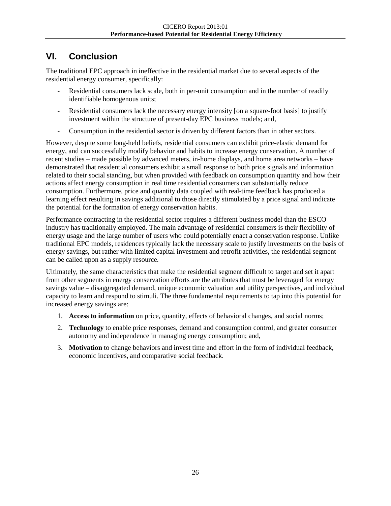# **VI. Conclusion**

The traditional EPC approach in ineffective in the residential market due to several aspects of the residential energy consumer, specifically:

- <span id="page-28-0"></span>Residential consumers lack scale, both in per-unit consumption and in the number of readily identifiable homogenous units;
- Residential consumers lack the necessary energy intensity [on a square-foot basis] to justify investment within the structure of present-day EPC business models; and,
- Consumption in the residential sector is driven by different factors than in other sectors.

However, despite some long-held beliefs, residential consumers can exhibit price-elastic demand for energy, and can successfully modify behavior and habits to increase energy conservation. A number of recent studies – made possible by advanced meters, in-home displays, and home area networks – have demonstrated that residential consumers exhibit a small response to both price signals and information related to their social standing, but when provided with feedback on consumption quantity and how their actions affect energy consumption in real time residential consumers can substantially reduce consumption. Furthermore, price and quantity data coupled with real-time feedback has produced a learning effect resulting in savings additional to those directly stimulated by a price signal and indicate the potential for the formation of energy conservation habits.

Performance contracting in the residential sector requires a different business model than the ESCO industry has traditionally employed. The main advantage of residential consumers is their flexibility of energy usage and the large number of users who could potentially enact a conservation response. Unlike traditional EPC models, residences typically lack the necessary scale to justify investments on the basis of energy savings, but rather with limited capital investment and retrofit activities, the residential segment can be called upon as a supply resource.

Ultimately, the same characteristics that make the residential segment difficult to target and set it apart from other segments in energy conservation efforts are the attributes that must be leveraged for energy savings value – disaggregated demand, unique economic valuation and utility perspectives, and individual capacity to learn and respond to stimuli. The three fundamental requirements to tap into this potential for increased energy savings are:

- 1. **Access to information** on price, quantity, effects of behavioral changes, and social norms;
- 2. **Technology** to enable price responses, demand and consumption control, and greater consumer autonomy and independence in managing energy consumption; and,
- 3. **Motivation** to change behaviors and invest time and effort in the form of individual feedback, economic incentives, and comparative social feedback.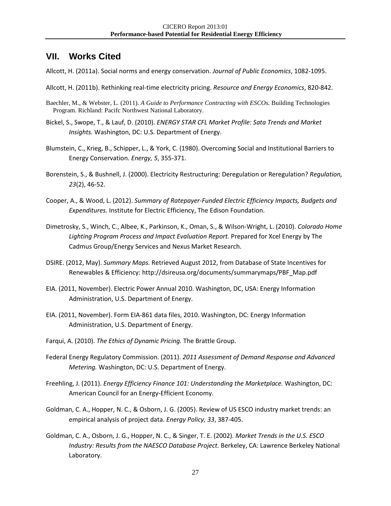# **VII. Works Cited**

Allcott, H. (2011a). Social norms and energy conservation. *Journal of Public Economics*, 1082-1095.

- <span id="page-29-0"></span>Allcott, H. (2011b). Rethinking real-time electricity pricing. *Resource and Energy Economics*, 820-842.
- Baechler, M., & Webster, L. (2011). *A Guide to Performance Contracting with ESCOs.* Building Technologies Program. Richland: Pacifc Northwest National Laboratory.
- Bickel, S., Swope, T., & Lauf, D. (2010). *ENERGY STAR CFL Market Profile: Sata Trends and Market Insights.* Washington, DC: U.S. Department of Energy.
- Blumstein, C., Krieg, B., Schipper, L., & York, C. (1980). Overcoming Social and Institutional Barriers to Energy Conservation. *Energy, 5*, 355-371.
- Borenstein, S., & Bushnell, J. (2000). Electricity Restructuring: Deregulation or Reregulation? *Regulation, 23*(2), 46-52.
- Cooper, A., & Wood, L. (2012). *Summary of Ratepayer-Funded Electric Efficiency Impacts, Budgets and Expenditures.* Institute for Electric Efficiency, The Edison Foundation.
- Dimetrosky, S., Winch, C., Albee, K., Parkinson, K., Oman, S., & Wilson-Wright, L. (2010). *Colorado Home Lighting Program Process and Impact Evaluation Report.* Prepared for Xcel Energy by The Cadmus Group/Energy Services and Nexus Market Research.
- DSIRE. (2012, May). *Summary Maps.* Retrieved August 2012, from Database of State Incentives for Renewables & Efficiency: http://dsireusa.org/documents/summarymaps/PBF\_Map.pdf
- EIA. (2011, November). Electric Power Annual 2010. Washington, DC, USA: Energy Information Administration, U.S. Department of Energy.
- EIA. (2011, November). Form EIA-861 data files, 2010. Washington, DC: Energy Information Administration, U.S. Department of Energy.
- Farqui, A. (2010). *The Ethics of Dynamic Pricing.* The Brattle Group.
- Federal Energy Regulatory Commission. (2011). *2011 Assessment of Demand Response and Advanced Metering.* Washington, DC: U.S. Department of Energy.
- Freehling, J. (2011). *Energy Efficiency Finance 101: Understanding the Marketplace.* Washington, DC: American Council for an Energy-Efficient Economy.
- Goldman, C. A., Hopper, N. C., & Osborn, J. G. (2005). Review of US ESCO industry market trends: an empirical analysis of project data. *Energy Policy, 33*, 387-405.
- Goldman, C. A., Osborn, J. G., Hopper, N. C., & Singer, T. E. (2002). *Market Trends in the U.S. ESCO Industry: Results from the NAESCO Database Project.* Berkeley, CA: Lawrence Berkeley National Laboratory.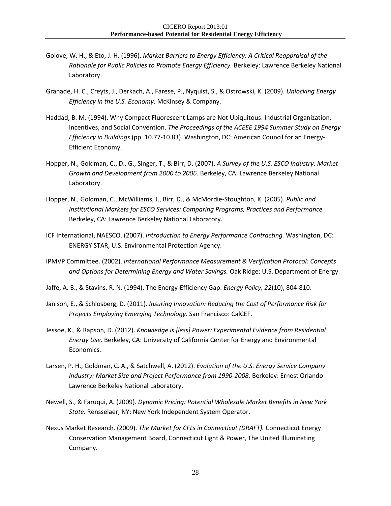- Golove, W. H., & Eto, J. H. (1996). *Market Barriers to Energy Efficiency: A Critical Reappraisal of the Rationale for Public Policies to Promote Energy Efficiency.* Berkeley: Lawrence Berkeley National Laboratory.
- Granade, H. C., Creyts, J., Derkach, A., Farese, P., Nyquist, S., & Ostrowski, K. (2009). *Unlocking Energy Efficiency in the U.S. Economy.* McKinsey & Company.
- Haddad, B. M. (1994). Why Compact Fluorescent Lamps are Not Ubiquitous: Industrial Organization, Incentives, and Social Convention. *The Proceedings of the ACEEE 1994 Summer Study on Energy Efficiency in Buildings* (pp. 10.77-10.83). Washington, DC: American Council for an Energy-Efficient Economy.
- Hopper, N., Goldman, C., D., G., Singer, T., & Birr, D. (2007). *A Survey of the U.S. ESCO Industry: Market Growth and Development from 2000 to 2006.* Berkeley, CA: Lawrence Berkeley National Laboratory.
- Hopper, N., Goldman, C., McWilliams, J., Birr, D., & McMordie-Stoughton, K. (2005). *Public and Institutional Markets for ESCO Services: Comparing Programs, Practices and Performance.* Berkeley, CA: Lawrence Berkeley National Laboratory.
- ICF International, NAESCO. (2007). *Introduction to Energy Performance Contracting.* Washington, DC: ENERGY STAR, U.S. Environmental Protection Agency.
- IPMVP Committee. (2002). *International Performance Measurement & Verification Protocol: Concepts and Options for Determining Energy and Water Savings.* Oak Ridge: U.S. Department of Energy.
- Jaffe, A. B., & Stavins, R. N. (1994). The Energy-Efficiency Gap. *Energy Policy, 22*(10), 804-810.
- Janison, E., & Schlosberg, D. (2011). *Insuring Innovation: Reducing the Cost of Performance Risk for Projects Employing Emerging Technology.* San Francisco: CalCEF.
- Jessoe, K., & Rapson, D. (2012). *Knowledge is [less] Power: Experimental Evidence from Residential Energy Use.* Berkeley, CA: University of California Center for Energy and Environmental Economics.
- Larsen, P. H., Goldman, C. A., & Satchwell, A. (2012). *Evolution of the U.S. Energy Service Company Industry: Market Size and Project Performance from 1990-2008.* Berkeley: Ernest Orlando Lawrence Berkeley National Laboratory.
- Newell, S., & Faruqui, A. (2009). *Dynamic Pricing: Potential Wholesale Market Benefits in New York State.* Rensselaer, NY: New York Independent System Operator.
- Nexus Market Research. (2009). *The Market for CFLs in Connecticut (DRAFT).* Connecticut Energy Conservation Management Board, Connecticut Light & Power, The United Illuminating Company.